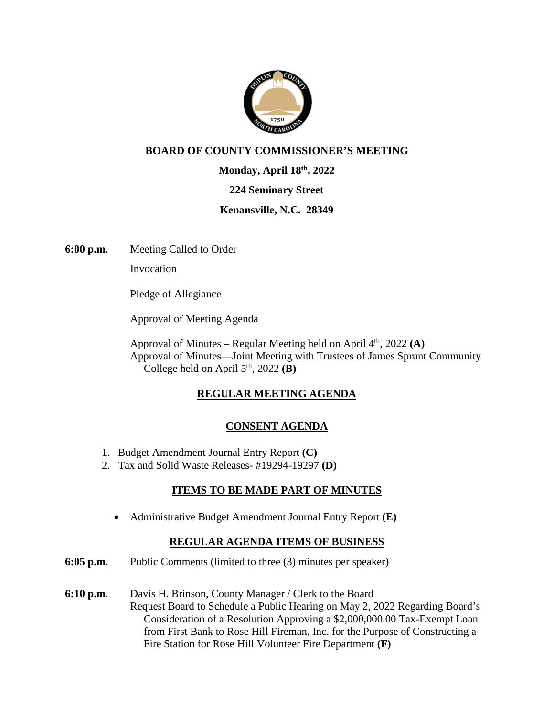

## **BOARD OF COUNTY COMMISSIONER'S MEETING**

**Monday, April 18th, 2022** 

#### **224 Seminary Street**

#### **Kenansville, N.C. 28349**

**6:00 p.m.** Meeting Called to Order

Invocation

Pledge of Allegiance

Approval of Meeting Agenda

Approval of Minutes – Regular Meeting held on April  $4<sup>th</sup>$ , 2022 **(A)** Approval of Minutes—Joint Meeting with Trustees of James Sprunt Community College held on April  $5<sup>th</sup>$ , 2022 (**B**)

## **REGULAR MEETING AGENDA**

## **CONSENT AGENDA**

- 1. Budget Amendment Journal Entry Report **(C)**
- 2. Tax and Solid Waste Releases- #19294-19297 **(D)**

## **ITEMS TO BE MADE PART OF MINUTES**

Administrative Budget Amendment Journal Entry Report **(E)** 

## **REGULAR AGENDA ITEMS OF BUSINESS**

- **6:05 p.m.** Public Comments (limited to three (3) minutes per speaker)
- **6:10 p.m.** Davis H. Brinson, County Manager / Clerk to the Board Request Board to Schedule a Public Hearing on May 2, 2022 Regarding Board's Consideration of a Resolution Approving a \$2,000,000.00 Tax-Exempt Loan from First Bank to Rose Hill Fireman, Inc. for the Purpose of Constructing a Fire Station for Rose Hill Volunteer Fire Department **(F)**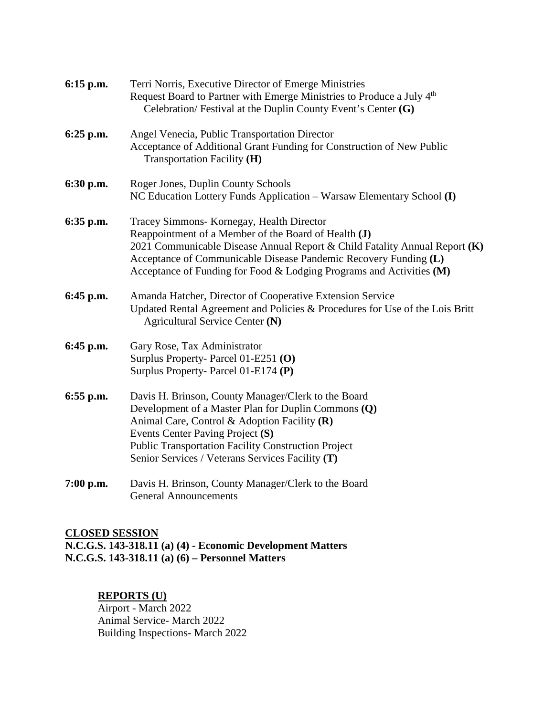| 6:15 p.m.   | Terri Norris, Executive Director of Emerge Ministries<br>Request Board to Partner with Emerge Ministries to Produce a July 4 <sup>th</sup><br>Celebration/ Festival at the Duplin County Event's Center (G)                                                                                                                 |
|-------------|-----------------------------------------------------------------------------------------------------------------------------------------------------------------------------------------------------------------------------------------------------------------------------------------------------------------------------|
| 6:25 p.m.   | Angel Venecia, Public Transportation Director<br>Acceptance of Additional Grant Funding for Construction of New Public<br>Transportation Facility (H)                                                                                                                                                                       |
| 6:30 p.m.   | Roger Jones, Duplin County Schools<br>NC Education Lottery Funds Application - Warsaw Elementary School (I)                                                                                                                                                                                                                 |
| 6:35 p.m.   | Tracey Simmons- Kornegay, Health Director<br>Reappointment of a Member of the Board of Health (J)<br>2021 Communicable Disease Annual Report & Child Fatality Annual Report (K)<br>Acceptance of Communicable Disease Pandemic Recovery Funding (L)<br>Acceptance of Funding for Food & Lodging Programs and Activities (M) |
| 6:45 p.m.   | Amanda Hatcher, Director of Cooperative Extension Service<br>Updated Rental Agreement and Policies & Procedures for Use of the Lois Britt<br>Agricultural Service Center (N)                                                                                                                                                |
| 6:45 p.m.   | Gary Rose, Tax Administrator<br>Surplus Property- Parcel 01-E251 (O)<br>Surplus Property-Parcel 01-E174 (P)                                                                                                                                                                                                                 |
| $6:55$ p.m. | Davis H. Brinson, County Manager/Clerk to the Board<br>Development of a Master Plan for Duplin Commons (Q)<br>Animal Care, Control & Adoption Facility (R)<br>Events Center Paving Project (S)<br><b>Public Transportation Facility Construction Project</b><br>Senior Services / Veterans Services Facility (T)            |
| 7:00 p.m.   | Davis H. Brinson, County Manager/Clerk to the Board<br><b>General Announcements</b>                                                                                                                                                                                                                                         |

#### **CLOSED SESSION**

**N.C.G.S. 143-318.11 (a) (4) - Economic Development Matters N.C.G.S. 143-318.11 (a) (6) – Personnel Matters** 

#### **REPORTS (U)**

Airport - March 2022 Animal Service- March 2022 Building Inspections- March 2022